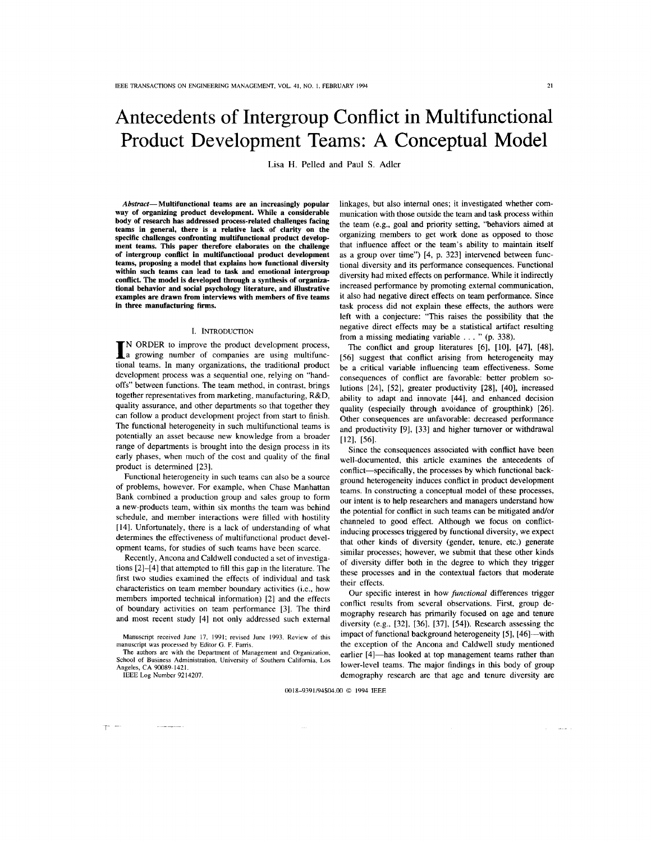# <span id="page-0-0"></span>Antecedents of Intergroup Conflict in Multifunctional Product Development Teams: **A** Conceptual Model

Lisa **H.** Pelled and Paul **S.** Adler

*Abstract-* **Multifunctional teams are an increasingly popular way of organizing product development. While a considerable body of research has addressed process-related challenges facing teams in general, there is a relative lack of clarity on the specific challenges confronting multifunctional product development teams. This paper therefore elaborates** on **the challenge of intergroup conflict in multifunctional product development teams, proposing a model that explains how functional diversity within such teams can lead to task and emotional intergroup conflict. The model is developed through a synthesis of organizational behavior and social psychology literature, and illustrative examples are drawn from interviews with members of five teams in three manufacturing firms.** 

## **I. INTRODUCTION**

**IN ORDER to improve the product development process, I** a growing number of companies are using multifunctional teams. In many organizations, the traditional product development process was a sequential one, relying on "handoffs" between functions. The team method, in contrast, brings together representatives from marketing, manufacturing, R&D, quality assurance, and other departments so that together they can follow a product development project from start to finish. The functional heterogeneity in such multifunctional teams is potentially an asset because new knowledge from a broader range of departments is brought into the design process in its early phases, when much of the cost and quality of the final product is determined [23].

Functional heterogeneity in such teams can also be a source of problems, however. For example, when Chase Manhattan Bank combined a production group and sales group to form a new-products team, within six months the team was behind schedule, and member interactions were filled with hostility [14]. Unfortunately, there is a lack of understanding of what determines the effectiveness of multifunctional product development teams, for studies of such teams have been scarce.

Recently, Ancona and Caldwell conducted a set of investigations [2]-[4] that attempted to fill this gap in the literature. The first two studies examined the effects of individual and task characteristics on team member boundary activities (i.e., how members imported technical information) [2] and the effects of boundary activities on team performance [3]. The third and most recent study 141 not only addressed such extemal

**IEEE Log Number 9214207.** 

linkages, but also internal ones; it investigated whether communication with those outside the team and task process within the team (e.g., goal and priority setting, "behaviors aimed at organizing members to get work done as opposed to those that influence affect **or** the team's ability to maintain itself as a group over time") 14, p. 3231 intervened between functional diversity and its performance consequences. Functional diversity had mixed effects on performance. While it indirectly increased performance by promoting extemal communication, it also had negative direct effects on team performance. Since task process did not explain these effects, the authors were left with a conjecture: "This raises the possibility that the negative direct effects may be a statistical artifact resulting from a missing mediating variable . . . " (p. 338).

The conflict and group literatures [6], [10], [47], [48], [56] suggest that conflict arising from heterogeneity may be a critical variable influencing team effectiveness. Some consequences of conflict are favorable: better problem solutions [24], [52], greater productivity [28], [40], increased ability to adapt and innovate **[44],** and enhanced decision quality (especially through avoidance of groupthink) **1261.**  Other consequences are unfavorable: decreased performance and productivity *191,* 1331 and higher tumover **or** withdrawal  $[12]$ ,  $[56]$ .

Since the consequences associated with conflict have been well-documented, this article examines the antecedents of conflict-specifically, the processes by which functional background heterogeneity induces conflict in product development teams. In constructing a conceptual model of these processes, our intent is to help researchers and managers understand how the potential for conflict in such teams can be mitigated and/or channeled to good effect. Although we focus on conflictinducing processes triggered by functional diversity, we expect that other kinds of diversity (gender, tenure, etc.) generate similar processes; however, we submit that these other kinds of diversity differ both in the degree to which they trigger these processes and in the contextual factors that moderate their effects.

Our specific interest in how *functional* differences trigger conflict results from several observations. First, group demography research has primarily focused on age and tenure diversity (e.g., [32], 1361, [37], [54]). Research assessing the impact of functional background heterogeneity [5], [46]—with the exception of the Ancona and Caldwell study mentioned earlier [4]-has looked at top management teams rather than lower-level teams. The major findings in this body of group demography research are that age and tenure diversity are

*00* **18-939 1/94\$oL 1.00** *0* **1994 IEEE** 

**Manuscript received June** 17, **1991; revised June 1993. Review** of **this manuscript was processed by Editor** *G.* F. **Fanis.** 

**The authors are with the Department** of **Management and Organization, School of Business Administration, University** of **Southern Califomia,** Los **Angeles, CA 90089-1421.**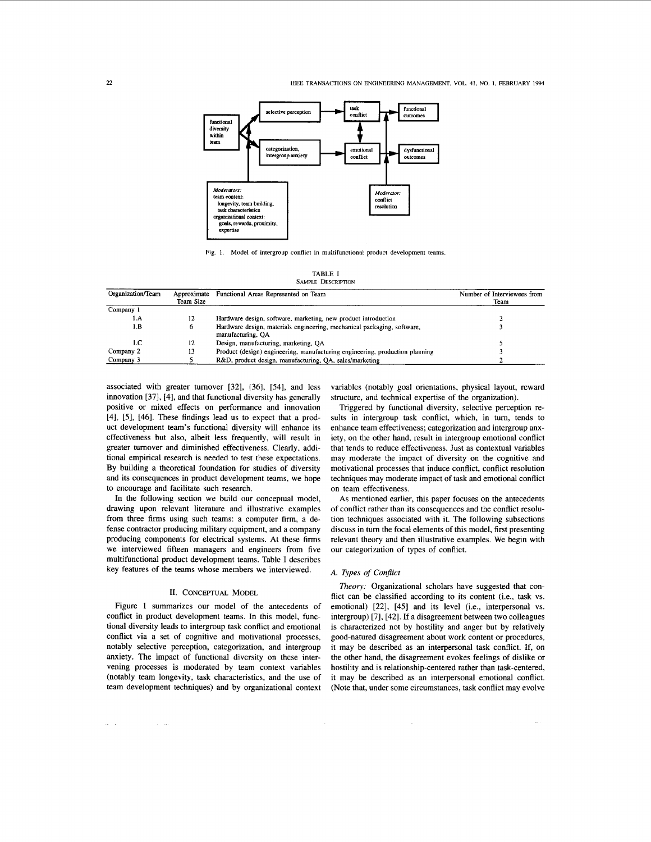<span id="page-1-0"></span>

**Fig.** 1. **Model of intergroup conflict in multifunctional product development teams.** 

| <b>TABLE I</b>            |
|---------------------------|
| <b>SAMPLE DESCRIPTION</b> |

| Organization/Team | Approximate<br>Team Size | Functional Areas Represented on Team                                                         | Number of Interviewees from<br>Team |
|-------------------|--------------------------|----------------------------------------------------------------------------------------------|-------------------------------------|
| Company 1         |                          |                                                                                              |                                     |
| 1.A               | 12                       | Hardware design, software, marketing, new product introduction                               |                                     |
| 1.B               | 6                        | Hardware design, materials engineering, mechanical packaging, software,<br>manufacturing, QA |                                     |
| 1.C.              | $12 \overline{ }$        | Design, manufacturing, marketing, QA                                                         |                                     |
| Company 2         | 13                       | Product (design) engineering, manufacturing engineering, production planning                 |                                     |
| Company 3         |                          | R&D, product design, manufacturing, OA, sales/marketing                                      |                                     |

associated with greater turnover [32], [36], [54], and less innovation [37], [4], and that functional diversity has generally positive or mixed effects on performance and innovation [4], [5], [46]. These findings lead us to expect that a product development team's functional diversity will enhance its effectiveness but also, albeit less frequently, will result in greater turnover and diminished effectiveness. Clearly, additional empirical research is needed to test these expectations. By building a theoretical foundation for studies of diversity and its consequences in product development teams, we hope to encourage and facilitate such research.

In the following section we build our conceptual model, drawing upon relevant literature and illustrative examples from three firms using such teams: a computer firm, a defense contractor producing military equipment, and a company producing components for electrical systems. At these firms we interviewed fifteen managers and engineers from five multifunctional product development teams. Table **I** describes key features of the teams whose members we interviewed.

## **11. CONCEPTUAL MODEL**

Figure 1 summarizes our model of the antecedents of conflict in product development teams. In this model, functional diversity leads to intergroup task conflict and emotional conflict via a set of cognitive and motivational processes, notably selective perception, categorization, and intergroup anxiety. The impact of functional diversity on these intervening processes is moderated by team context variables (notably team longevity, task characteristics, and the use of team development techniques) and by organizational context

and a strategic control of the

variables (notably goal orientations, physical layout, reward structure, and technical expertise of the organization).

Triggered by functional diversity, selective perception results in intergroup task conflict, which, in turn, tends to enhance team effectiveness; categorization and intergroup anxiety, on the other hand, result in intergroup emotional conflict that tends to reduce effectiveness. Just as contextual variables may moderate the impact of diversity on the cognitive and motivational processes that induce conflict, conflict resolution techniques may moderate impact of task and emotional conflict on team effectiveness.

**As** mentioned earlier, this paper focuses on the antecedents of conflict rather than its consequences and the conflict resolution techniques associated with it. The following subsections discuss in turn the focal elements of this model, first presenting relevant theory and then illustrative examples. We begin with our categorization of types of conflict.

# *A. Types of Conjlicr*

 $\sim$ 

*Theory;* Organizational scholars have suggested that conflict can be classified according to its content (i.e., task vs. emotional) [22], [45] and its level (i.e., interpersonal vs. intergroup) [7], [42]. If a disagreement between two colleagues is characterized not by hostility and anger but by relatively good-natured disagreement about work content **or** procedures, it may be described as an interpersonal task conflict. If, on the other hand, the disagreement evokes feelings of dislike or hostility and is relationship-centered rather than task-centered, it may be described as an interpersonal emotional conflict. (Note that, under some circumstances, task conflict may evolve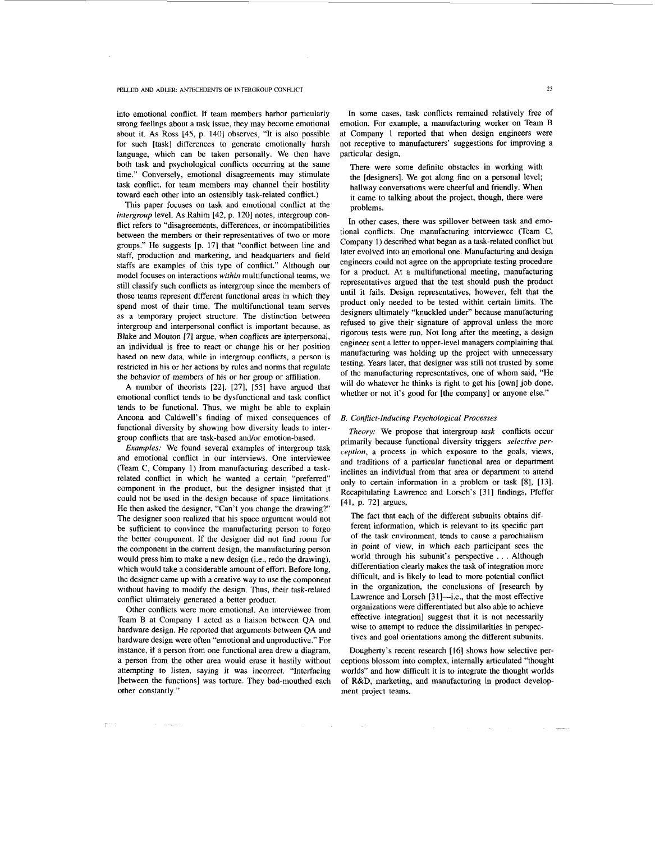## **PELLED AND ADLER: ANTECEDENTS OF INTERGROUP CONFLICT 23**

into emotional conflict. If team members harbor particularly strong feelings about a task issue, they may become emotional about it. As Ross [45, p. 140] observes, "It is also possible for such [task] differences to generate emotionally harsh language, which can be taken personally. We then have both task and psychological conflicts occurring at the same time." Conversely, emotional disagreements may stimulate task conflict, for team members may channel their hostility toward each other into an ostensibly task-related conflict.)

This paper focuses on task and emotional conflict at the *intergroup* level. As Rahim [42, p. 120] notes, intergroup conflict refers to "disagreements, differences, or incompatibilities between the members or their representatives of two or more groups." He suggests [p. 171 that "conflict between line and staff, production and marketing, and headquarters and field staffs are examples of this type of conflict." Although our model focuses on interactions *within* multifunctional teams, we still classify such conflicts as intergroup since the members of those teams represent different functional areas in which they spend most of their time. The multifunctional team serves as a temporary project structure. The distinction between intergroup and interpersonal conflict is important because, as Blake and Mouton [7] argue, when conflicts are interpersonal, an individual is free to react or change his or her position based on new data, while in intergroup conflicts, a person is restricted in his or her actions by rules and norms that regulate the behavior of members of his **or** her group or affiliation.

A number of theorists **[22],** [27], *[55]* have argued that emotional conflict tends to he dysfunctional and task conflict tends to be functional. Thus, we might be able to explain Ancona and Caldwell's finding of mixed consequences of functional diversity by showing how diversity leads to intergroup conflicts that are task-based and/or emotion-based.

*Examples:* We found several examples of intergroup task and emotional conflict in our interviews. One interviewee (Team C, Company 1) from manufacturing described a taskrelated conflict in which he wanted a certain "preferred" component in the product, but the designer insisted that it could not be used in the design because of space limitations. He then asked the designer, "Can't you change the drawing?" The designer soon realized that his space argument would not be sufficient to convince the manufacturing person to forgo the better component. If the designer did not find room for the component in the current design, the manufacturing person would press him to make a new design (i.e., redo the drawing), which would take a considerable amount of effort. Before long, the designer came up with a creative way to use the component without having to modify the design. Thus, their task-related conflict ultimately generated a better product.

Other conflicts were more emotional. An interviewee from Team B at Company 1 acted as a liaison between **QA** and hardware design. He reported that arguments between **QA** and hardware design were often "emotional and unproductive." For instance, if a person from one functional area drew a diagram, a person from the other area would erase it hastily without attempting to listen, saying it was incorrect. "Interfacing [between the functions] was torture. They bad-mouthed each other constantly."

 $\sim 10^7$ 

T

In some cases, task conflicts remained relatively free of emotion. **For** example, a manufacturing worker on Team B at Company 1 reported that when design engineers were not receptive to manufacturers' suggestions for improving a particular design,

There were some definite obstacles in working with the [designers]. We got along fine on a personal level; hallway conversations were cheerful and friendly. When it came to talking about the project, though, there were problems.

In other cases, there was spillover between task and emotional conflicts. One manufacturing interviewee (Team C, Company 1) described what began as a task-related conflict but later evolved into an emotional one. Manufacturing and design engineers could not agree on the appropriate testing procedure for a product. At a multifunctional meeting, manufacturing representatives argued that the test should push the product until it fails. Design representatives, however, felt that the product only needed to be tested within certain limits. The designers ultimately "knuckled under" because manufacturing refused to give their signature of approval unless the more rigorous tests were run. Not long after the meeting, a design engineer sent a letter to upper-level managers complaining that manufacturing was holding up the project with unnecessary testing. Years later, that designer was still not trusted by some of the manufacturing representatives, one of whom said, "He will do whatever he thinks is right to get his [own] job done, whether or not it's good for [the company] or anyone else."

## *B. Conflict-Inducing Psychological Processes*

*Theory:* We propose that intergroup *task* conflicts occur primarily because functional diversity triggers *selective perception,* a process in which exposure to the goals, views, and traditions of a particular functional area **or** department inclines an individual from that area **or** department to attend only to certain information in a problem **or** task **[8],** [13]. Recapitulating Lawrence and Lorsch's **[3** 11 findings, Pfeffer [41, p. 72] argues,

The fact that each of the different subunits obtains different information, which is relevant to its specific part of the task environment, tends to cause a parochialism in point of view, in which each participant sees the world through his subunit's perspective . . . Although differentiation clearly makes the task of integration more difficult, and is likely to lead to more potential conflict in the organization, the conclusions **of** [research by Lawrence and Lorsch  $[31]$ -i.e., that the most effective organizations were differentiated but also able to achieve effective integration] suggest that it is not necessarily wise to attempt to reduce the dissimilarities in perspectives and goal orientations among the different subunits.

Dougherty's recent research [I61 shows how selective perceptions blossom into complex, internally articulated "thought worlds" and how difficult it is to integrate the thought worlds of R&D, marketing, and manufacturing in product development project teams.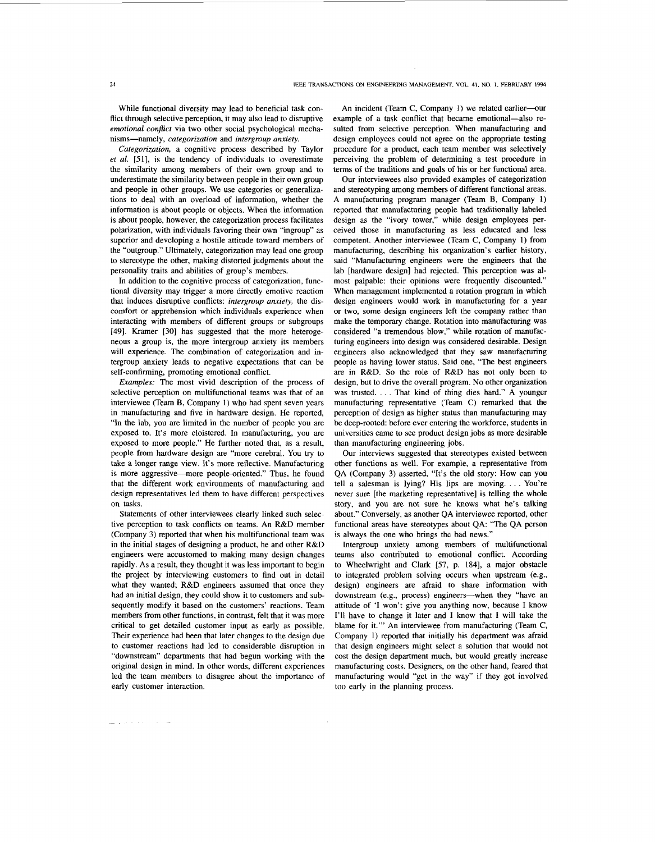While functional diversity may lead to beneficial task conflict through selective perception, it may also lead to disruptive *emotional conjlict* via two other social psychological mechanisms-namely, *categorization* and *intergroup anxiety.* 

*Categorization,* a cognitive process described by Taylor *et al.* [51], is the tendency of individuals to overestimate the similarity among members of their own group and to underestimate the similarity between people in their own group and people in other groups. We use categories or generalizations to deal with an overload of information, whether the information is ahout people or objects. When the information is about people, however, the categorization process facilitates polarization, with individuals favoring their own "ingroup" as superior and developing a hostile attitude toward members of the "outgroup." Ultimately, categorization may lead one group to stereotype the other, making distorted judgments about the personality traits and abilities of group's members.

In addition to the cognitive process of categorization, functional diversity may trigger a more directly emotive reaction that induces disruptive conflicts: *intergroup anxiety,* the discomfort or apprehension which individuals experience when interacting with members of different groups or subgroups [49]. Kramer [30] has suggested that the more heterogeneous a group is, the more intergroup anxiety its members will experience. The combination of categorization and intergroup anxiety leads to negative expectations that can be self-confirming, promoting emotional conflict.

*Examples:* The most vivid description of the process of selective perception on multifunctional teams was that of an interviewee (Team **B,** Company 1) who had spent seven years in manufacturing and five in hardware design. He reported, "In the lab, you are limited in the number of people you are exposed to. It's more cloistered. In manufacturing, you are exposed to more people." He further noted that, as a result, people from hardware design are "more cerebral. You **try** to take a longer range view. It's more reflective. Manufacturing is more aggressive—more people-oriented." Thus, he found that the different work environments of manufacturing and design representatives led them to have different perspectives on tasks.

Statements of other interviewees clearly linked such selective perception to task conflicts on teams. An R&D member (Company **3)** reported that when his multifunctional team was in the initial stages of designing a product, he and other R&D engineers were accustomed to making many design changes rapidly. **As** a result, they thought it was less important to begin the project by interviewing customers to find out in detail what they wanted; R&D engineers assumed that once they had an initial design, they could show it to customers and subsequently modify it based on the customers' reactions. Team members from other functions, in contrast, felt that it was more critical to get detailed customer input as early as possible. Their experience had been that later changes to the design due to customer reactions had led to considerable disruption in "downstream" departments that had begun working with the original design in mind. In other words, different experiences led the team members to disagree about the importance of early customer interaction.

An incident (Team C, Company 1) we related earlier-our example of a task conflict that became emotional-also resulted from selective perception. When manufacturing and design employees could not agree on the appropriate testing procedure for a product, each team member was selectively perceiving the problem of determining a test procedure in terms of the traditions and goals of his **or** her functional area.

**Our** interviewees also provided examples of categorization and stereotyping among members of different functional areas. A manufacturing program manager (Team B, Company 1) reported that manufacturing people had traditionally labeled design as the "ivory tower," while design employees **per**ceived those in manufacturing as less educated and less competent. Another interviewee (Team **C,** Company 1) from manufacturing, describing his organization's earlier history, said "Manufacturing engineers were the engineers that the lab [hardware design] had rejected. This perception was almost palpable: their opinions were frequently discounted." When management implemented a rotation program in which design engineers would work in manufacturing for a year **or** two, some design engineers left the company rather than make the temporary change. Rotation into manufacturing was considered "a tremendous blow," while rotation of manufacturing engineers into design was considered desirable. Design engineers also acknowledged that they saw manufacturing people as having lower status. Said one, "The best engineers are in R&D. **So** the role of R&D has not only been to design, but to drive the overall program. No other organization was trusted. . . . That kind of thing dies hard." A younger manufacturing representative (Team C) remarked that the perception of design as higher status than manufacturing may be deep-rooted: before ever entering the workforce, students in universities came to see product design jobs as more desirable than manufacturing engineering jobs.

Our interviews suggested that stereotypes existed between other functions as well. For example, a representative from QA (Company **3)** asserted, "It's the old story: How can you tell a salesman is lying? His lips are moving. . . . You're never sure [the marketing representative] is telling the whole story, and you are not sure he knows what he's talking about." Conversely, as another QA interviewee reported, other functional areas have stereotypes about QA: "The QA person is always the one who brings the bad news."

Intergroup anxiety among members of multifunctional teams also contributed to emotional conflict. According to Wheelwright and Clark [57, p. 184], a major obstacle to integrated problem solving occurs when upstream (e.g., design) engineers are afraid to share information with downstream (e.g., process) engineers-when they "have an attitude of **'I** won't give you anything now, because I know I'll have to change it later and I know that **I** will take the blame for it."" An interviewee from manufacturing (Team C, Company 1) reported that initially his department was afraid that design engineers might select a solution that would not cost the design department much, but would greatly increase manufacturing costs. Designers, on the other hand, feared that manufacturing would "get in the way" if they got involved too early in the planning process.

المتحدث والمستنبذ  $\sim 10^{-10}$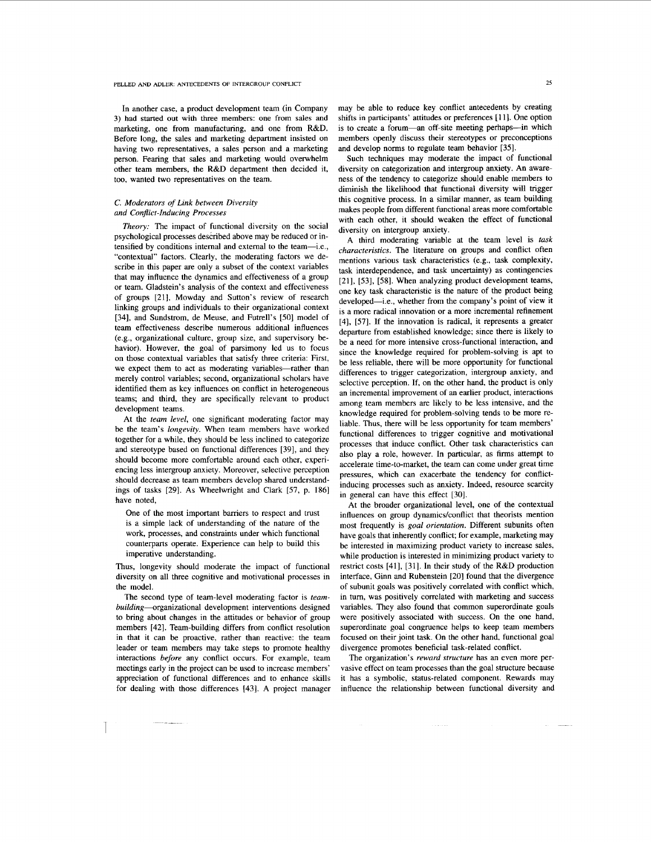In another case, a product development team (in Company **3)** had started out with three members: one from sales and marketing, one from manufacturing, and one from R&D. Before long, the sales and marketing department insisted on having two representatives, a sales person and a marketing person. Fearing that sales and marketing would overwhelm other team members, the R&D department then decided it, too, wanted two representatives on the team.

# *C.* Moderators *of* Link between Diversity and Conflict-Inducing Processes

Theory: The impact of functional diversity on the social psychological processes described above may be reduced or intensified by conditions internal and external to the team-i.e., "contextual" factors. Clearly, the moderating factors we describe in this paper are only a subset of the context variables that may influence the dynamics and effectiveness of a group **or** team. Gladstein's analysis of the context and effectiveness of groups [21], Mowday and Sutton's review of research linking groups and individuals to their organizational context [34], and Sundstrom, de Meuse, and Futrell's *[50]* model **of**  team effectiveness describe numerous additional influences (e.g., organizational culture, group size, and supervisory behavior). However, the goal of parsimony led us to focus on those contextual variables that satisfy three criteria: First, we expect them to act as moderating variables-rather than merely control variables: second, organizational scholars have identified them as key influences on conflict in heterogeneous teams: and third, they are specifically relevant to product development teams.

At the team level, one significant moderating factor may be the team's longevity. When team members have worked together for a while, they should be less inclined to categorize and stereotype based on functional differences [39], and they should become more comfortable around each other, experiencing less intergroup anxiety. Moreover, selective perception should decrease as team members develop shared understandings of tasks [29]. As Wheelwright and Clark [57, p. 186] have noted,

One of the most important barriers to respect and trust is a simple lack of understanding of the nature of the work, processes, and constraints under which functional counterparts operate. Experience can help to build this imperative understanding.

Thus, longevity should moderate the impact of functional diversity on all three cognitive and motivational processes in the model.

The second type of team-level moderating factor is teambuilding-organizational development interventions designed to bring about changes in the attitudes or behavior of group members [42]. Team-building differs from conflict resolution in that it can be proactive, rather than reactive: the team leader or team members may take steps to promote healthy interactions before any conflict occurs. **For** example, team meetings early in the project can be used to increase members' appreciation **of** functional differences and to enhance skills for dealing with those differences [43]. A project manager

may be able to reduce key conflict antecedents by creating shifts in participants' attitudes **or** preferences [ 111. One option is to create a forum-an off-site meeting perhaps-in which members openly discuss their stereotypes or preconceptions and develop norms to regulate team behavior [35].

Such techniques may moderate the impact of functional diversity on categorization and intergroup anxiety. An awareness of the tendency to categorize should enable members to diminish the likelihood that functional diversity will trigger this cognitive process. In a similar manner, as team building makes people from different functional areas more comfortable with each other, it should weaken the effect of functional diversity on intergroup anxiety.

A third moderating variable at the team level is task characteristics. The literature on groups and conflict often mentions various **task** characteristics (e.g., task complexity, task interdependence, and task uncertainty) as contingencies  $[21]$ ,  $[53]$ ,  $[58]$ . When analyzing product development teams, one key task characteristic is the nature of the product being developed-i.e., whether from the company's point of view it is a more radical innovation **or** a more incremental refinement [4], [57]. If the innovation is radical, it represents a greater departure from established knowledge; since there is likely to be a need for more intensive cross-functional interaction, and since the knowledge required for problem-solving is apt to be less reliable, there will be more opportunity for functional differences to trigger categorization, intergroup anxiety, and selective perception. If, on the other hand, the product is only an incremental improvement of an earlier product, interactions among team members are likely to be less intensive, and the knowledge required for problem-solving tends to be more reliable. Thus, there will be less opportunity for team members' functional differences to trigger cognitive and motivational processes that induce conflict. Other task characteristics can also play a role, however. In particular, as firms attempt to accelerate time-to-market, the team can come under great time pressures, which can exacerbate the tendency for conflictinducing processes such as anxiety. Indeed, resource scarcity in general can have this effect [30].

At the broader organizational level, one of the contextual influences on group dynamics/conflict that theorists mention most frequently is goal orientation. Different subunits often have goals that inherently conflict: for example, marketing may be interested in maximizing product variety to increase sales, while production is interested in minimizing product variety to restrict costs [41], [31]. In their study of the R&D production interface, Ginn and Rubenstein [20] found that the divergence of subunit goals was positively correlated with conflict which, in tum, was positively correlated with marketing and success variables. They also found that common superordinate goals were positively associated with success. On the one hand, superordinate goal congruence helps to keep team members focused on their joint task. On the other hand, functional goal divergence promotes beneficial task-related conflict.

The organization's reward structure has an even more pervasive effect on team processes than the goal structure because it has a symbolic, status-related component. Rewards may influence the relationship between functional diversity and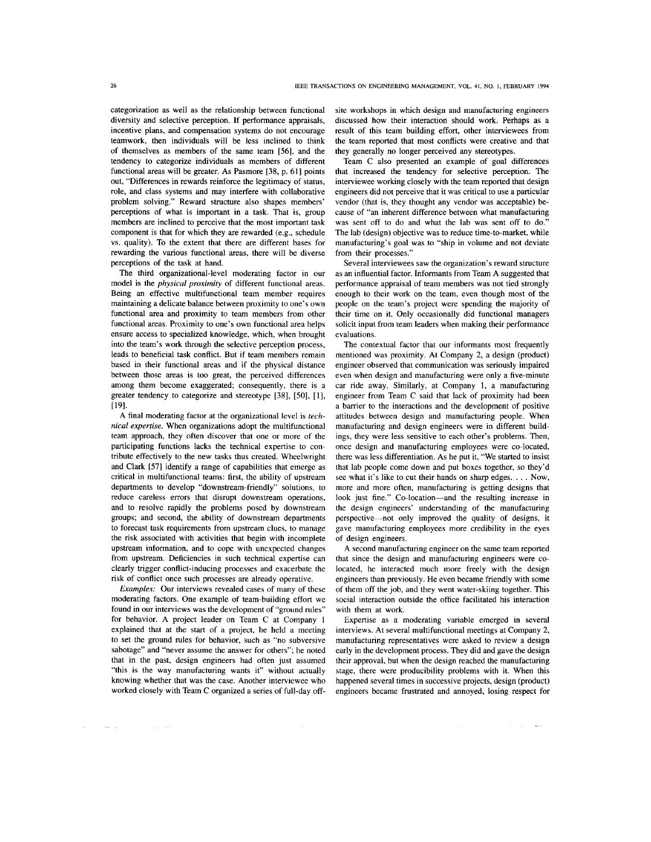<span id="page-5-0"></span>categorization as well as the relationship between functional diversity and selective perception. If performance appraisals, incentive plans, and compensation systems do not encourage teamwork, then individuals will be **less** inclined to think of themselves as members of the same team *[56],* and the tendency to categorize individuals as members of different functional areas will be greater. As Pasmore **[38,** p. **611** points out, "Differences in rewards reinforce the legitimacy of status, **role,** and class systems and may interfere with collaborative problem solving." Reward structure also shapes members' perceptions of what is important in a task. That is, group members are inclined to perceive that the most important task component is that for which they are rewarded (e.g., schedule vs. quality). To the extent that there are different bases for rewarding the various functional areas, there will be diverse perceptions of the task at hand.

The third organizational-level moderating factor in our model is the *physical proximity* of different functional areas. Being an effective multifunctional team member requires maintaining a delicate balance between proximity to one's own functional area and proximity to team members from other functional areas. Proximity to one's own functional area helps ensure access to specialized knowledge, which, when brought into the team's work through the selective perception process, leads to beneficial task conflict. But if team members remain based in their functional areas and if the physical distance between those areas is too great, the perceived differences among them become exaggerated; consequently, there is a greater tendency to categorize and stereotype **[38],** *[50],* [l],  $[19]$ .

A final moderating factor at the organizational level is *technical expertise.* When organizations adopt the multifunctional team approach, they often discover that one or more of the participating functions lacks the technical expertise to contribute effectively to the new tasks thus created. Wheelwright and Clark **[57]** identify a range of capabilities that emerge as critical in multifunctional teams: first, the ability of upstream departments to develop "downstream-friendly" solutions, to reduce careless errors that disrupt downstream operations, and to resolve rapidly the problems posed by downstream groups; and second, the ability of downstream departments to forecast task requirements from upstream clues, to manage the risk associated with activities that begin with incomplete upstream information, and to cope with unexpected changes from upstream. Deficiencies in such technical expertise can clearly trigger conflict-inducing processes and exacerbate the risk of conflict once such processes are already operative.

*Exumples:* Our interviews revealed cases of many of these moderating factors. One example of team-building effort we found in our interviews was the development of "ground rules" for behavior. **A** project leader on Team C at Company <sup>1</sup> explained that at the start of a project, he held a meeting to set the ground rules for behavior, such as "no subversive sabotage" and "never assume the answer for others"; he noted that in the past, design engineers had often just assumed "this is the way manufacturing wants it" without actually knowing whether that was the case. Another interviewee who worked closely with Team C organized a series of full-day off-

 $\omega_{\rm{max}}$  and  $\omega_{\rm{max}}$ 

للفاريخ والأراد

site workshops in which design and manufacturing engineers discussed how their interaction should work. Perhaps as a result of this team building effort, other interviewees from the team reported that most conflicts were creative and that they generally no longer perceived any stereotypes.

Team **C** also presented an example of goal differences that increased the tendency for selective perception. The interviewee working closely with the team reported that design engineers did not perceive that it was critical to **use** a particular vendor (that is, they thought any vendor was acceptable) because of "an inherent difference between what manufacturing was sent off to do and what the lab was sent off to do." The lab (design) objective was to reduce time-to-market, while manufacturing's goal was to "ship in volume and not deviate from their processes."

Several interviewees saw the organization's reward structure as an influential factor. Informants from Team A suggested that performance appraisal of team members was not tied strongly enough to their work on the team, even though most of the people on the team's project were spending the majority of their time on it. Only occasionally did functional managers solicit input from team leaders when making their performance evaluations.

The contextual factor that our informants most frequently mentioned was proximity. At Company 2, a design (product) engineer observed that communication was seriously impaired even when design and manufacturing were only a five-minute car ride away. Similarly, at Company 1, a manufacturing engineer from Team C said that lack of proximity had been a barrier to the interactions and the development of positive attitudes between design and manufacturing people. When manufacturing and design engineers were in different buildings, they were less sensitive to each other's problems. Then, once design and manufacturing employees were co-located, there was less differentiation. As he put it, "We started to insist that lab people come down and put boxes together, **so** they'd see what it's like to cut their hands on sharp edges. . . . Now, more and more often, manufacturing is getting designs that look just fine." Co-location-and the resulting increase in the design engineers' understanding of the manufacturing perspective-not only improved the quality of designs, it gave manufacturing employees more credibility in the eyes of design engineers.

A second manufacturing engineer on the same team reported that since the design and manufacturing engineers were colocated, he interacted much more freely with the design engineers than previously. He even became friendly with some of them off the job, and they went water-skiing together. This social interaction outside the office facilitated his interaction with them at work.

Expertise as a moderating variable emerged in several interviews. At several multifunctional meetings at Company 2, manufacturing representatives were asked to review a design early in the development process. They did and gave the design their approval, but when the design reached the manufacturing stage, there were producibility problems with it. When this happened several times in successive projects, design (product) engineers became frustrated and annoyed, losing respect for

وسائل المرادي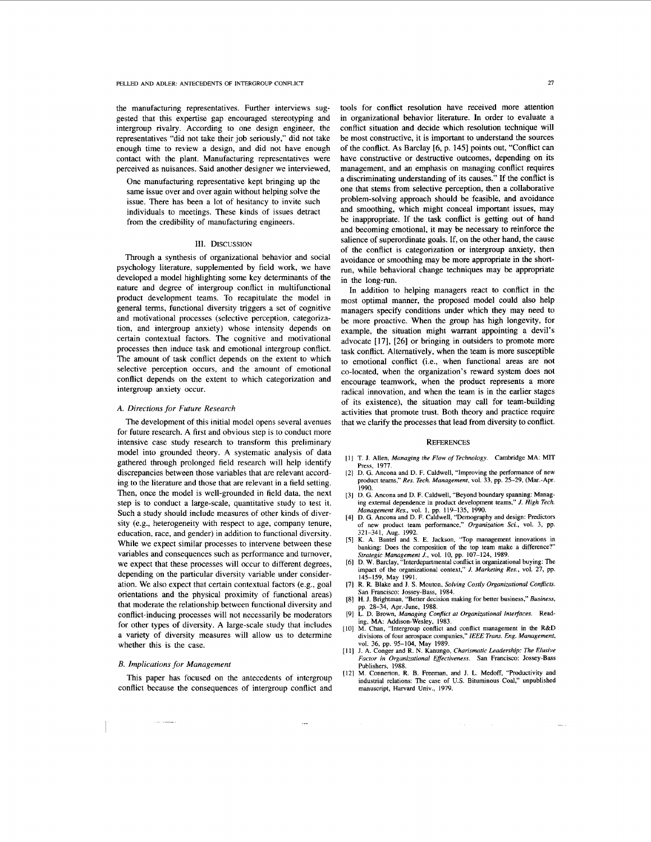<span id="page-6-0"></span>the manufacturing representatives. Further interviews suggested that this expertise gap encouraged stereotyping and intergroup rivalry. According to one design engineer, the representatives "did not take their job seriously," did not take enough time to review a design, and did not have enough contact with the plant. Manufacturing representatives were perceived as nuisances. Said another designer we interviewed,

One manufacturing representative kept bringing up the same issue over and over again without helping solve the issue. There has been a lot of hesitancy to invite such individuals to meetings. These kinds of issues detract from the credibility of manufacturing engineers.

## 111. **DISCUSSION**

Through a synthesis of organizational behavior and social psychology literature, supplemented by field work, we have developed a model highlighting some key determinants of the nature and degree of intergroup conflict in multifunctional product development teams. **To** recapitulate the model in general terms, functional diversity triggers a set of cognitive and motivational processes (selective perception, categorization, and intergroup anxiety) whose intensity depends on certain contextual factors. The cognitive and motivational processes then induce task and emotional intergroup conflict. The amount of task conflict depends on the extent to which selective perception occurs, and the amount of emotional conflict depends on the extent to which categorization and intergroup anxiety occur.

## *A. Directions for Future Research*

The development of this initial model opens several avenues for future research. A first and obvious step is to conduct more intensive case study research to transform this preliminary model into grounded theory. **A** systematic analysis of data gathered through prolonged field research will help identify discrepancies between those variables that are relevant according to the literature and those that are relevant in a field setting. Then, once the model is well-grounded in field data, the next step is to conduct a large-scale, quantitative study to test it. Such a study should include measures of other kinds of diversity (e.g., heterogeneity with respect to age, company tenure, education, race, and gender) in addition to functional diversity. While we expect similar processes to intervene between these variables and consequences such as performance and turnover, we expect that these processes will occur to different degrees, depending on the particular diversity variable under consideration. We also expect that certain contextual factors (e.g., goal orientations and the physical proximity of functional areas) that moderate the relationship between functional diversity and conflict-inducing processes will not necessarily be moderators for other types of diversity. A large-scale study that includes a variety of diversity measures will allow us to determine whether this is the case.

## *B. Implications for Management*

This paper has focused on the antecedents of intergroup conflict because the consequences of intergroup conflict and

tools for conflict resolution have received more attention in organizational behavior literature. In order to evaluate a conflict situation and decide which resolution technique will be most constructive, it is important to understand the sources of the conflict. As Barclay **[6,** p. **1451** points out, "Conflict can have constructive **or** destructive outcomes, depending on its management, and an emphasis on managing conflict requires a discriminating understanding of its causes." If the conflict is one that stems from selective perception, then a collaborative problem-solving approach should be feasible, and avoidance and smoothing, which might conceal important issues, may be inappropriate. If the task conflict is getting out of hand and becoming emotional, it may be necessary to reinforce the salience of superordinate goals. If, on the other hand, the cause of the conflict is categorization or intergroup anxiety, then avoidance or smoothing may be more appropriate in the shortrun, while behavioral change techniques may be appropriate in the long-run.

In addition to helping managers react to conflict in the most optimal manner, the proposed model could also help managers specify conditions under which they may need to be more proactive. When the group has high longevity, for example, the situation might warrant appointing a devil's advocate **[17],** *[26]* or bringing in outsiders to promote more task conflict. Altematively, when the team is more susceptible to emotional conflict (i.e., when functional areas are not co-located, when the organization's reward system does not encourage teamwork, when the product represents a more radical innovation, and when the team is in the earlier stages of its existence), the situation may call for team-building activities that promote trust. Both theory and practice require that we clarify the processes that lead from diversity to conflict.

#### **REFERENCES**

- **T. J. Allen,** *Managing the Flow* of *Technology.* **Cambridge MA: MIT Press, 1977.**
- D. *G.* **Ancona and** D. F. **Caldwell, "Improving the performance of new product teams,"** *Res. Tech. Management,* **vol.** *33,* **pp. 25-29. (Mar.-Apr. 1990.**
- **D.** *G.* **Ancona and** D. **F. Caldwell, "Beyond boundary spanning: Managing extemal dependence in product development teams,"** *J. High Tech.*
- *Management Res.,* **vol. 1, pp. 119-135, 1990. D.** *G.* **Ancona and** D. **F. Caldwell, "Demography and design: Predictors**  D. G. Ancona and D. F. Caldwell, "Demography and design: Predictors<br>of new product team performance," *Organization Sci.*, vol. 3, pp.<br>321–341, Aug. 1992. **K. A. Bantel and S. E. Jackson, 'Top management innovations in**
- $[5]$ banking: Does the composition of the top team make a difference?"
- *Strategic Management J.,* **vol. 10. pp. 107-124. 1989.**  D. **W. Barclay, "Interdepartmental conflict in organizational buying: The**  impact of the organizational context," *J. Marketing Res.*, vol. 27, pp. **145-159, May 1991.**
- R. **R. Blake and 1. S. Mouton,** *Solving Costly Organizational Conflicts.*  San Francisco: Jossey-Bass, 1984.<br>H. J. Brightman, "Better decision making for better business," *Business*,
- **pp. 28-34, Apr.-June, 1988.**
- **L.** D. **Brown,** *Managing Conflict at Organizational Interfnces.* **Read-ing, MA: Addison-Wesley, 1983.**
- **M. Chan, "Intergroup conflict and conflict management in the** R&D **divisions of four aerospace companies,''** *IEEE Trans. Eng. Management,*  **vol.** 36, **pp. 95-104, May 1989.**
- $[11]$ **J. A. Conger and R. N. Kanungo,** *Charismatic Leadership: The Elusive Factor in Organizational Effectiveness.* **San Francisco: Jossey-Bass Publishers, 1988.**
- $[12]$ **M. Connerton, R. B. Freeman, and J. L. Medoff, "Productivity and industrial relations: The case of US. Bituminous Coal," unpublished manuscript, Harvard Univ., 1979.**